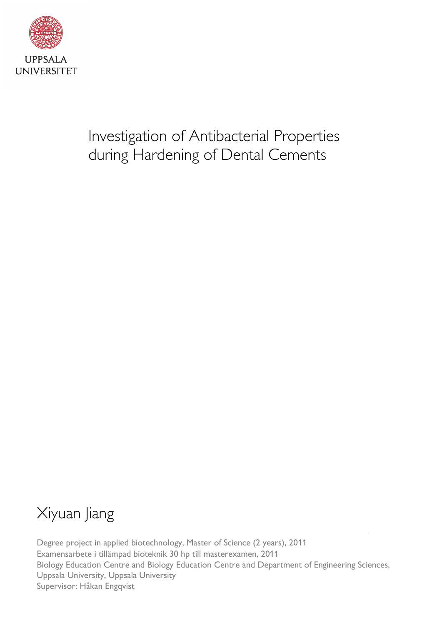

# Investigation of Antibacterial Properties during Hardening of Dental Cements

# Xiyuan Jiang

Degree project in applied biotechnology, Master of Science (2 years), 2011 Examensarbete i tillämpad bioteknik 30 hp till masterexamen, 2011 Biology Education Centre and Biology Education Centre and Department of Engineering Sciences, Uppsala University, Uppsala University Supervisor: Håkan Engqvist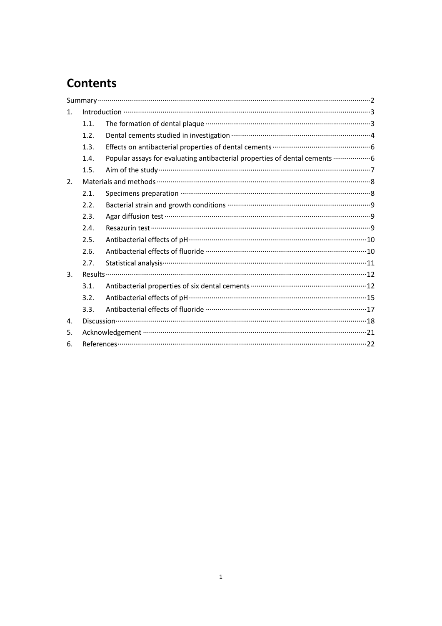## **Contents**

| 1. |      |                                                                                     |  |  |
|----|------|-------------------------------------------------------------------------------------|--|--|
|    | 1.1. |                                                                                     |  |  |
|    | 1.2. | Dental cements studied in investigation ………………………………………………………………………4                |  |  |
|    | 1.3. | Effects on antibacterial properties of dental cements ……………………………………………………………………… 6 |  |  |
|    | 1.4. | Popular assays for evaluating antibacterial properties of dental cements  6         |  |  |
|    | 1.5. |                                                                                     |  |  |
| 2. |      |                                                                                     |  |  |
|    | 2.1. |                                                                                     |  |  |
|    | 2.2. |                                                                                     |  |  |
|    | 2.3. |                                                                                     |  |  |
|    | 2.4. |                                                                                     |  |  |
|    | 2.5. | Antibacterial effects of pH…………………………………………………………………………………………10                     |  |  |
|    | 2.6. |                                                                                     |  |  |
|    | 2.7. |                                                                                     |  |  |
| 3. |      |                                                                                     |  |  |
|    | 3.1. |                                                                                     |  |  |
|    | 3.2. | Antibacterial effects of pH……………………………………………………………………………………15                       |  |  |
|    | 3.3. |                                                                                     |  |  |
| 4. |      |                                                                                     |  |  |
| 5. |      |                                                                                     |  |  |
| 6. |      |                                                                                     |  |  |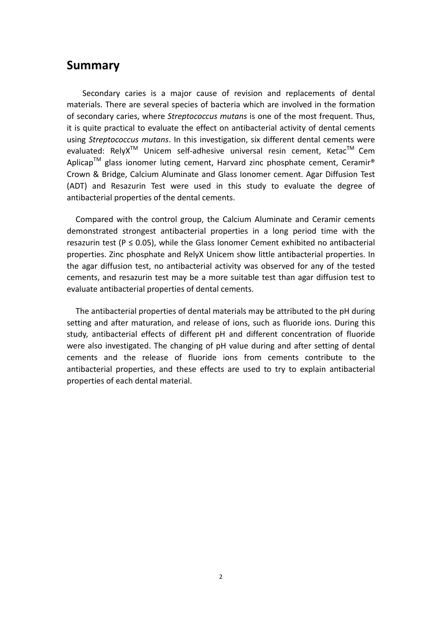## <span id="page-2-0"></span>**Summary**

 Secondary caries is a major cause of revision and replacements of dental materials. There are several species of bacteria which are involved in the formation of secondary caries, where *Streptococcus mutans* is one of the most frequent. Thus, it is quite practical to evaluate the effect on antibacterial activity of dental cements using *Streptococcus mutans*. In this investigation, six different dental cements were evaluated: RelyX<sup>™</sup> Unicem self-adhesive universal resin cement, Ketac<sup>™</sup> Cem Aplicap<sup>TM</sup> glass ionomer luting cement, Harvard zinc phosphate cement, Ceramir<sup>®</sup> Crown & Bridge, Calcium Aluminate and Glass Ionomer cement. Agar Diffusion Test (ADT) and Resazurin Test were used in this study to evaluate the degree of antibacterial properties of the dental cements.

Compared with the control group, the Calcium Aluminate and Ceramir cements demonstrated strongest antibacterial properties in a long period time with the resazurin test ( $P \le 0.05$ ), while the Glass Ionomer Cement exhibited no antibacterial properties. Zinc phosphate and RelyX Unicem show little antibacterial properties. In the agar diffusion test, no antibacterial activity was observed for any of the tested cements, and resazurin test may be a more suitable test than agar diffusion test to evaluate antibacterial properties of dental cements.

The antibacterial properties of dental materials may be attributed to the pH during setting and after maturation, and release of ions, such as fluoride ions. During this study, antibacterial effects of different pH and different concentration of fluoride were also investigated. The changing of pH value during and after setting of dental cements and the release of fluoride ions from cements contribute to the antibacterial properties, and these effects are used to try to explain antibacterial properties of each dental material.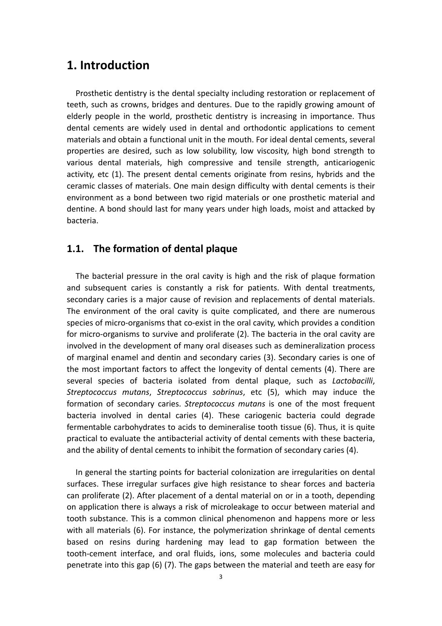## <span id="page-3-0"></span>**1. Introduction**

Prosthetic dentistry is the dental specialty including restoration or replacement of teeth, such as crowns, bridges and dentures. Due to the rapidly growing amount of elderly people in the world, prosthetic dentistry is increasing in importance. Thus dental cements are widely used in dental and orthodontic applications to cement materials and obtain a functional unit in the mouth. For ideal dental cements, several properties are desired, such as low solubility, low viscosity, high bond strength to various dental materials, high compressive and tensile strength, anticariogenic activity, etc (1). The present dental cements originate from resins, hybrids and the ceramic classes of materials. One main design difficulty with dental cements is their environment as a bond between two rigid materials or one prosthetic material and dentine. A bond should last for many years under high loads, moist and attacked by bacteria.

#### **1.1. The formation of dental plaque**

The bacterial pressure in the oral cavity is high and the risk of plaque formation and subsequent caries is constantly a risk for patients. With dental treatments, secondary caries is a major cause of revision and replacements of dental materials. The environment of the oral cavity is quite complicated, and there are numerous species of micro-organisms that co-exist in the oral cavity, which provides a condition for micro-organisms to survive and proliferate (2). The bacteria in the oral cavity are involved in the development of many oral diseases such as demineralization process of marginal enamel and dentin and secondary caries (3). Secondary caries is one of the most important factors to affect the longevity of dental cements (4). There are several species of bacteria isolated from dental plaque, such as *Lactobacilli*, *Streptococcus mutans*, *Streptococcus sobrinus*, etc (5), which may induce the formation of secondary caries. *Streptococcus mutans* is one of the most frequent bacteria involved in dental caries (4). These cariogenic bacteria could degrade fermentable carbohydrates to acids to demineralise tooth tissue (6). Thus, it is quite practical to evaluate the antibacterial activity of dental cements with these bacteria, and the ability of dental cements to inhibit the formation of secondary caries (4).

In general the starting points for bacterial colonization are irregularities on dental surfaces. These irregular surfaces give high resistance to shear forces and bacteria can proliferate (2). After placement of a dental material on or in a tooth, depending on application there is always a risk of microleakage to occur between material and tooth substance. This is a common clinical phenomenon and happens more or less with all materials (6). For instance, the polymerization shrinkage of dental cements based on resins during hardening may lead to gap formation between the tooth‐cement interface, and oral fluids, ions, some molecules and bacteria could penetrate into this gap (6) (7). The gaps between the material and teeth are easy for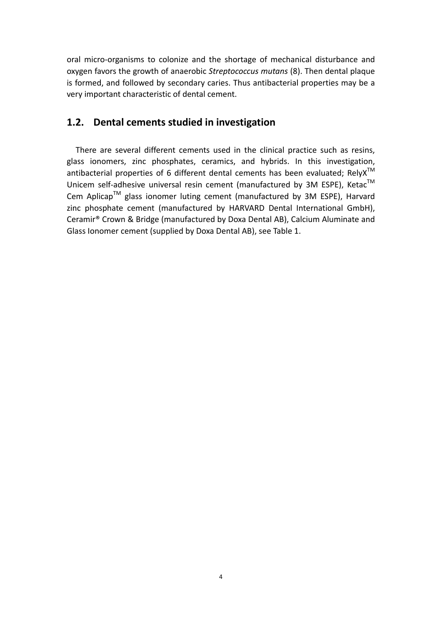<span id="page-4-0"></span>oral micro‐organisms to colonize and the shortage of mechanical disturbance and oxygen favors the growth of anaerobic *Streptococcus mutans* (8). Then dental plaque is formed, and followed by secondary caries. Thus antibacterial properties may be a very important characteristic of dental cement.

### **1.2. Dental cements studied in investigation**

There are several different cements used in the clinical practice such as resins, glass ionomers, zinc phosphates, ceramics, and hybrids. In this investigation, antibacterial properties of 6 different dental cements has been evaluated; Rely $X^{TM}$ Unicem self-adhesive universal resin cement (manufactured by 3M ESPE), Ketac™ Cem Aplicap™ glass ionomer luting cement (manufactured by 3M ESPE), Harvard zinc phosphate cement (manufactured by HARVARD Dental International GmbH), Ceramir® Crown & Bridge (manufactured by Doxa Dental AB), Calcium Aluminate and Glass Ionomer cement (supplied by Doxa Dental AB), see Table 1.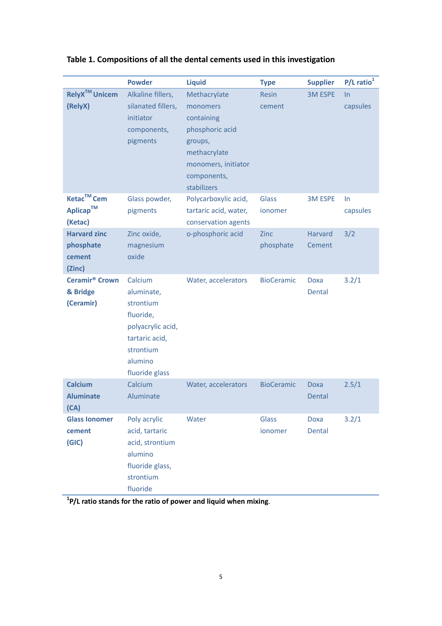|                                                           | <b>Powder</b>                                                                                                                    | <b>Liquid</b>                                                                                                                             | <b>Type</b>            | <b>Supplier</b>          | $P/L$ ratio <sup>1</sup> |
|-----------------------------------------------------------|----------------------------------------------------------------------------------------------------------------------------------|-------------------------------------------------------------------------------------------------------------------------------------------|------------------------|--------------------------|--------------------------|
| <b>RelyX<sup>™</sup> Unicem</b><br>(RelyX)                | Alkaline fillers,<br>silanated fillers,<br>initiator<br>components,<br>pigments                                                  | Methacrylate<br>monomers<br>containing<br>phosphoric acid<br>groups,<br>methacrylate<br>monomers, initiator<br>components,<br>stabilizers | <b>Resin</b><br>cement | <b>3M ESPE</b>           | In<br>capsules           |
| Ketac <sup>™</sup> Cem<br>Aplicap™<br>(Ketac)             | Glass powder,<br>pigments                                                                                                        | Polycarboxylic acid,<br>tartaric acid, water,<br>conservation agents                                                                      | Glass<br>ionomer       | <b>3M ESPE</b>           | In.<br>capsules          |
| <b>Harvard zinc</b><br>phosphate<br>cement<br>(Zinc)      | Zinc oxide,<br>magnesium<br>oxide                                                                                                | o-phosphoric acid                                                                                                                         | Zinc<br>phosphate      | <b>Harvard</b><br>Cement | 3/2                      |
| <b>Ceramir<sup>®</sup> Crown</b><br>& Bridge<br>(Ceramir) | Calcium<br>aluminate,<br>strontium<br>fluoride,<br>polyacrylic acid,<br>tartaric acid,<br>strontium<br>alumino<br>fluoride glass | Water, accelerators                                                                                                                       | <b>BioCeramic</b>      | Doxa<br>Dental           | 3.2/1                    |
| <b>Calcium</b><br><b>Aluminate</b><br>(CA)                | Calcium<br>Aluminate                                                                                                             | Water, accelerators                                                                                                                       | <b>BioCeramic</b>      | <b>Doxa</b><br>Dental    | 2.5/1                    |
| <b>Glass Ionomer</b><br>cement<br>(GIC)                   | Poly acrylic<br>acid, tartaric<br>acid, strontium<br>alumino<br>fluoride glass,<br>strontium<br>fluoride                         | Water                                                                                                                                     | Glass<br>ionomer       | <b>Doxa</b><br>Dental    | 3.2/1                    |

**Table 1. Compositions of all the dental cements used in this investigation**

**1 P/L ratio stands for the ratio of power and liquid when mixing**.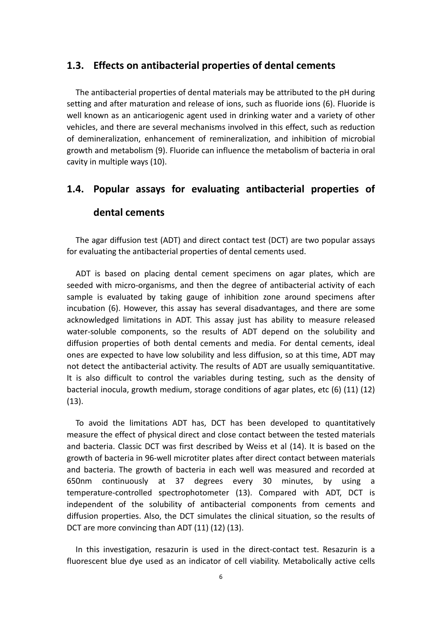#### <span id="page-6-0"></span>**1.3. Effects on antibacterial properties of dental cements**

The antibacterial properties of dental materials may be attributed to the pH during setting and after maturation and release of ions, such as fluoride ions (6). Fluoride is well known as an anticariogenic agent used in drinking water and a variety of other vehicles, and there are several mechanisms involved in this effect, such as reduction of demineralization, enhancement of remineralization, and inhibition of microbial growth and metabolism (9). Fluoride can influence the metabolism of bacteria in oral cavity in multiple ways (10).

## **1.4. Popular assays for evaluating antibacterial properties of dental cements**

The agar diffusion test (ADT) and direct contact test (DCT) are two popular assays for evaluating the antibacterial properties of dental cements used.

ADT is based on placing dental cement specimens on agar plates, which are seeded with micro-organisms, and then the degree of antibacterial activity of each sample is evaluated by taking gauge of inhibition zone around specimens after incubation (6). However, this assay has several disadvantages, and there are some acknowledged limitations in ADT. This assay just has ability to measure released water-soluble components, so the results of ADT depend on the solubility and diffusion properties of both dental cements and media. For dental cements, ideal ones are expected to have low solubility and less diffusion, so at this time, ADT may not detect the antibacterial activity. The results of ADT are usually semiquantitative. It is also difficult to control the variables during testing, such as the density of bacterial inocula, growth medium, storage conditions of agar plates, etc (6) (11) (12)  $(13).$ 

and bacteria. The growth of bacteria in each well was measured and recorded at 650nm continuously at 37 degrees every 30 minutes, by using a diffusion properties. Also, the DCT simulates the clinical situation, so the results of DCT are more convincing than ADT (11) (12) (13). To avoid the limitations ADT has, DCT has been developed to quantitatively measure the effect of physical direct and close contact between the tested materials and bacteria. Classic DCT was first described by Weiss et al (14). It is based on the growth of bacteria in 96‐well microtiter plates after direct contact between materials temperature-controlled spectrophotometer (13). Compared with ADT, DCT is independent of the solubility of antibacterial components from cements and

In this investigation, resazurin is used in the direct-contact test. Resazurin is a fluorescent blue dye used as an indicator of cell viability. Metabolically active cells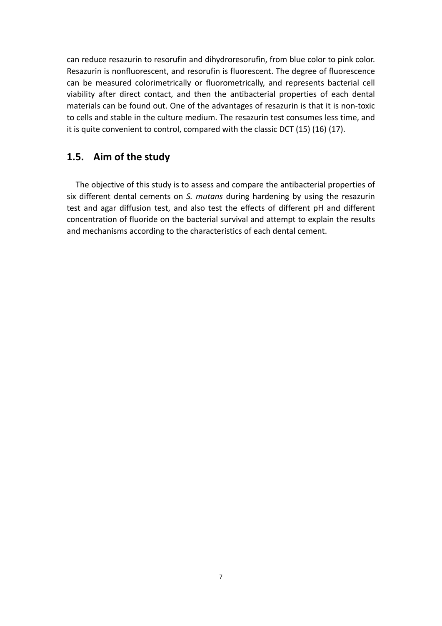<span id="page-7-0"></span>can reduce resazurin to resorufin and dihydroresorufin, from blue color to pink color. Resazurin is nonfluorescent, and resorufin is fluorescent. The degree of fluorescence can be measured colorimetrically or fluorometrically, and represents bacterial cell viability after direct contact, and then the antibacterial properties of each dental materials can be found out. One of the advantages of resazurin is that it is non‐toxic to cells and stable in the culture medium. The resazurin test consumes less time, and it is quite convenient to control, compared with the classic DCT (15) (16) (17).

### **1.5. Aim of the study**

concentration of fluoride on the bacterial survival and attempt to explain the results and mechanisms according to the characteristics of each dental cement. The objective of this study is to assess and compare the antibacterial properties of six different dental cements on *S. mutans* during hardening by using the resazurin test and agar diffusion test, and also test the effects of different pH and different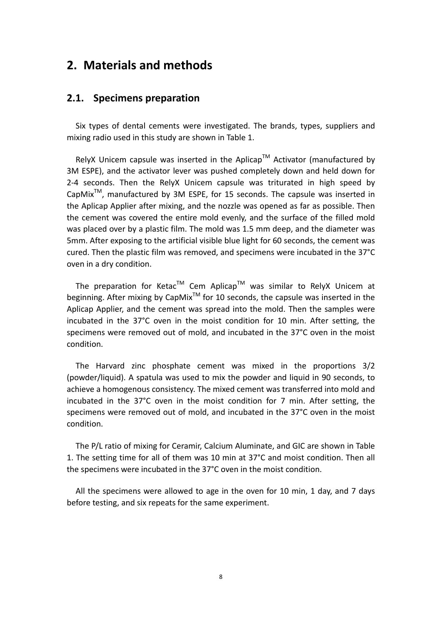## <span id="page-8-0"></span>**2. Materials and methods**

#### **2.1. Specimens preparation**

Six types of dental cements were investigated. The brands, types, suppliers and mixing radio used in this study are shown in Table 1.

RelyX Unicem capsule was inserted in the Aplicap<sup>TM</sup> Activator (manufactured by 3M ESPE), and the activator lever was pushed completely down and held down for 2‐4 seconds. Then the RelyX Unicem capsule was triturated in high speed by  $CapMix^{TM}$ , manufactured by 3M ESPE, for 15 seconds. The capsule was inserted in the Aplicap Applier after mixing, and the nozzle was opened as far as possible. Then the cement was covered the entire mold evenly, and the surface of the filled mold was placed over by a plastic film. The mold was 1.5 mm deep, and the diameter was 5mm. After exposing to the artificial visible blue light for 60 seconds, the cement was cured. Then the plastic film was removed, and specimens were incubated in the 37°C oven in a dry condition.

The preparation for Ketac™ Cem Aplicap™ was similar to RelyX Unicem at beginning. After mixing by CapMix<sup>TM</sup> for 10 seconds, the capsule was inserted in the Aplicap Applier, and the cement was spread into the mold. Then the samples were incubated in the 37°C oven in the moist condition for 10 min. After setting, the specimens were removed out of mold, and incubated in the 37°C oven in the moist condition.

The Harvard zinc phosphate cement was mixed in the proportions 3/2 (powder/liquid). A spatula was used to mix the powder and liquid in 90 seconds, to achieve a homogenous consistency. The mixed cement was transferred into mold and incubated in the 37°C oven in the moist condition for 7 min. After setting, the specimens were removed out of mold, and incubated in the 37°C oven in the moist condition.

The P/L ratio of mixing for Ceramir, Calcium Aluminate, and GIC are shown in Table 1. The setting time for all of them was 10 min at 37°C and moist condition. Then all the specimens were incubated in the 37°C oven in the moist condition.

All the specimens were allowed to age in the oven for 10 min, 1 day, and 7 days before testing, and six repeats for the same experiment.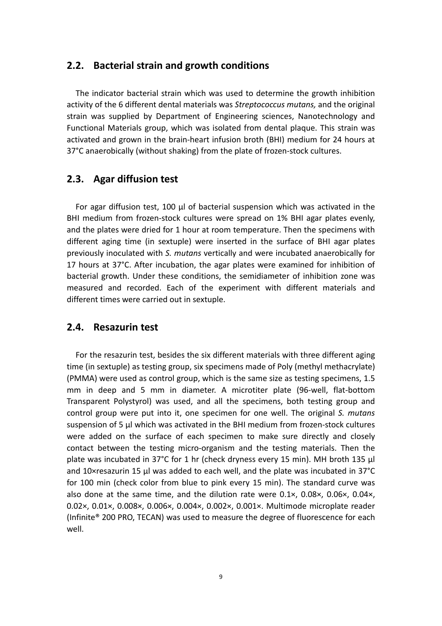#### <span id="page-9-0"></span>**2.2. Bacterial strain and growth conditions**

 The indicator bacterial strain which was used to determine the growth inhibition activity of the 6 different dental materials was *Streptococcus mutans,* and the original strain was supplied by Department of Engineering sciences, Nanotechnology and Functional Materials group, which was isolated from dental plaque. This strain was activated and grown in the brain‐heart infusion broth (BHI) medium for 24 hours at 37°C anaerobically (without shaking) from the plate of frozen‐stock cultures.

#### **2.3. Agar diffusion test**

 For agar diffusion test, 100 μl of bacterial suspension which was activated in the BHI medium from frozen‐stock cultures were spread on 1% BHI agar plates evenly, and the plates were dried for 1 hour at room temperature. Then the specimens with different aging time (in sextuple) were inserted in the surface of BHI agar plates previously inoculated with *S. mutans* vertically and were incubated anaerobically for 17 hours at 37°C. After incubation, the agar plates were examined for inhibition of bacterial growth. Under these conditions, the semidiameter of inhibition zone was measured and recorded. Each of the experiment with different materials and different times were carried out in sextuple.

#### **2.4. Resazurin test**

 For the resazurin test, besides the six different materials with three different aging time (in sextuple) as testing group, six specimens made of Poly (methyl methacrylate) (PMMA) were used as control group, which is the same size as testing specimens, 1.5 mm in deep and 5 mm in diameter. A microtiter plate (96‐well, flat‐bottom Transparent Polystyrol) was used, and all the specimens, both testing group and control group were put into it, one specimen for one well. The original *S. mutans* suspension of 5 µl which was activated in the BHI medium from frozen-stock cultures were added on the surface of each specimen to make sure directly and closely contact between the testing micro‐organism and the testing materials. Then the plate was incubated in 37°C for 1 hr (check dryness every 15 min). MH broth 135 μl and 10×resazurin 15 μl was added to each well, and the plate was incubated in 37°C for 100 min (check color from blue to pink every 15 min). The standard curve was also done at the same time, and the dilution rate were 0.1×, 0.08×, 0.06×, 0.04×, 0.02×, 0.01×, 0.008×, 0.006×, 0.004×, 0.002×, 0.001×. Multimode microplate reader (Infinite® 200 PRO, TECAN) was used to measure the degree of fluorescence for each well.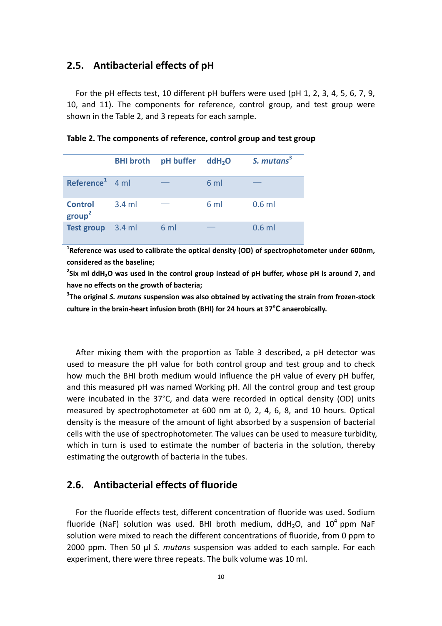#### <span id="page-10-0"></span>**2.5. Antibacterial effects of pH**

 For the pH effects test, 10 different pH buffers were used (pH 1, 2, 3, 4, 5, 6, 7, 9, 10, and 11). The components for reference, control group, and test group were shown in the Table 2, and 3 repeats for each sample.

|                                    | <b>BHI</b> broth | pH buffer | ddH <sub>2</sub> O | S. mutans <sup>3</sup> |
|------------------------------------|------------------|-----------|--------------------|------------------------|
| Reference <sup>1</sup> 4 ml        |                  |           | $6 \text{ ml}$     |                        |
| <b>Control</b><br>$\text{group}^2$ | $3.4$ m          |           | $6 \text{ ml}$     | $0.6$ ml               |
| <b>Test group</b>                  | $3.4$ ml         | 6 ml      |                    | $0.6$ ml               |

**Table 2. The components of reference, control group and test group**

**1 Reference was used to calibrate the optical density (OD) of spectrophotometer under 600nm, considered as the baseline;**

 $^2$ Six ml ddH<sub>2</sub>O was used in the control group instead of pH buffer, whose pH is around 7, and **have no effects on the growth of bacteria;**

**3 The original** *S. mutans* **suspension was also obtained by activating the strain from frozen‐stock culture in the brain‐heart infusion broth (BHI) for 24 hours at 37°C anaerobically.**

After mixing them with the proportion as Table 3 described, a pH detector was used to measure the pH value for both control group and test group and to check how much the BHI broth medium would influence the pH value of every pH buffer, and this measured pH was named Working pH. All the control group and test group were incubated in the 37°C, and data were recorded in optical density (OD) units measured by spectrophotometer at 600 nm at 0, 2, 4, 6, 8, and 10 hours. Optical density is the measure of the amount of light absorbed by a suspension of bacterial cells with the use of spectrophotometer. The values can be used to measure turbidity, which in turn is used to estimate the number of bacteria in the solution, thereby estimating the outgrowth of bacteria in the tubes.

### **2.6. Antibacterial effects of fluoride**

 For the fluoride effects test, different concentration of fluoride was used. Sodium fluoride (NaF) solution was used. BHI broth medium, ddH<sub>2</sub>O, and  $10^4$  ppm NaF solution were mixed to reach the different concentrations of fluoride, from 0 ppm to 2000 ppm. Then 50 μl *S. mutans* suspension was added to each sample. For each experiment, there were three repeats. The bulk volume was 10 ml.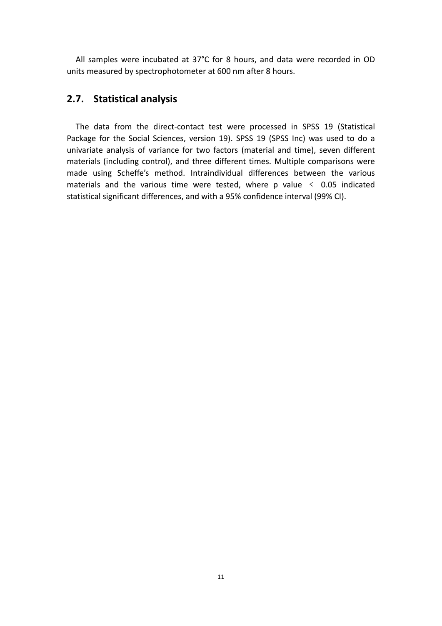<span id="page-11-0"></span> All samples were incubated at 37°C for 8 hours, and data were recorded in OD units measured by spectrophotometer at 600 nm after 8 hours.

### **2.7. Statistical analysis**

The data from the direct-contact test were processed in SPSS 19 (Statistical Package for the Social Sciences, version 19). SPSS 19 (SPSS Inc) was used to do a univariate analysis of variance for two factors (material and time), seven different materials (including control), and three different times. Multiple comparisons were made using Scheffe's method. Intraindividual differences between the various materials and the various time were tested, where p value  $\leq$  0.05 indicated statistical significant differences, and with a 95% confidence interval (99% CI).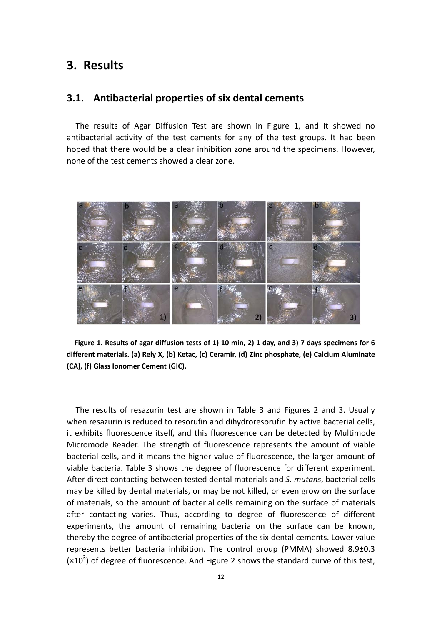## <span id="page-12-0"></span>**3. Results**

#### **3.1. Antibacterial properties of six dental cements**

The results of Agar Diffusion Test are shown in Figure 1, and it showed no antibacterial activity of the test cements for any of the test groups. It had been hoped that there would be a clear inhibition zone around the specimens. However, none of the test cements showed a clear zone.



Figure 1. Results of agar diffusion tests of 1) 10 min, 2) 1 day, and 3) 7 days specimens for 6 **different materials. (a) Rely X, (b) Ketac, (c) Ceramir, (d) Zinc phosphate, (e) Calcium Aluminate (CA), (f) Glass Ionomer Cement (GIC).**

The results of resazurin test are shown in Table 3 and Figures 2 and 3. Usually when resazurin is reduced to resorufin and dihydroresorufin by active bacterial cells, it exhibits fluorescence itself, and this fluorescence can be detected by Multimode Micromode Reader. The strength of fluorescence represents the amount of viable bacterial cells, and it means the higher value of fluorescence, the larger amount of viable bacteria. Table 3 shows the degree of fluorescence for different experiment. After direct contacting between tested dental materials and *S. mutans*, bacterial cells may be killed by dental materials, or may be not killed, or even grow on the surface of materials, so the amount of bacterial cells remaining on the surface of materials after contacting varies. Thus, according to degree of fluorescence of different experiments, the amount of remaining bacteria on the surface can be known, thereby the degree of antibacterial properties of the six dental cements. Lower value represents better bacteria inhibition. The control group (PMMA) showed 8.9±0.3  $(x10<sup>3</sup>)$  of degree of fluorescence. And Figure 2 shows the standard curve of this test,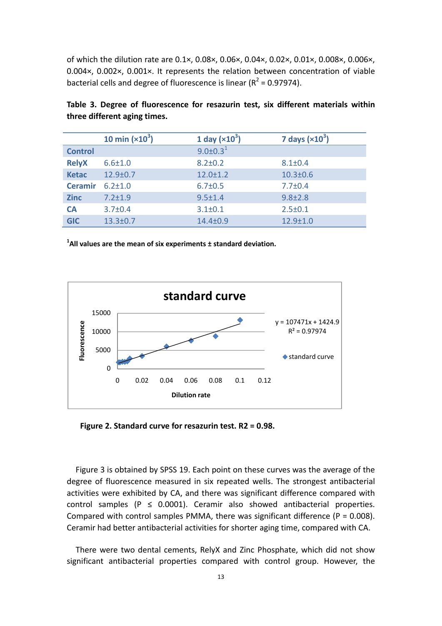of which the dilution rate are 0.1×, 0.08×, 0.06×, 0.04×, 0.02×, 0.01×, 0.008×, 0.006×, 0.004×, 0.002×, 0.001×. It represents the relation between concentration of viable bacterial cells and degree of fluorescence is linear ( $R^2$  = 0.97974).

|                | 10 min $(x10^3)$ | 1 day $(x10^3)$ | 7 days $(x10^3)$ |
|----------------|------------------|-----------------|------------------|
| <b>Control</b> |                  | $9.0 \pm 0.3^1$ |                  |
| <b>RelyX</b>   | $6.6 \pm 1.0$    | $8.2 \pm 0.2$   | $8.1 \pm 0.4$    |
| <b>Ketac</b>   | $12.9 \pm 0.7$   | $12.0 \pm 1.2$  | $10.3 \pm 0.6$   |
| <b>Ceramir</b> | $6.2 + 1.0$      | $6.7 \pm 0.5$   | $7.7 \pm 0.4$    |
| <b>Zinc</b>    | $7.2 \pm 1.9$    | $9.5 \pm 1.4$   | $9.8 \pm 2.8$    |
| <b>CA</b>      | $3.7 \pm 0.4$    | $3.1 \pm 0.1$   | $2.5 \pm 0.1$    |
| <b>GIC</b>     | $13.3 \pm 0.7$   | $14.4 \pm 0.9$  | $12.9 + 1.0$     |

**Table 3. Degree of fluorescence for resazurin test, six different materials within three different aging times.**

**1 All values are the mean of six experiments ± standard deviation.**



**Figure 2. Standard curve for resazurin test. R2 = 0.98.**

Figure 3 is obtained by SPSS 19. Each point on these curves was the average of the de gree of fluorescence measured in six repeated wells. The strongest antibacterial activities were exhibited by CA, and there was significant difference compared with control samples ( $P \le 0.0001$ ). Ceramir also showed antibacterial properties. Compared with control samples PMMA, there was significant difference ( $P = 0.008$ ). Ceramir had better antibacterial activities for shorter aging time, compared with CA.

 There were two dental cements, RelyX and Zinc Phosphate, which did not show significant antibacterial properties compared with control group. However, the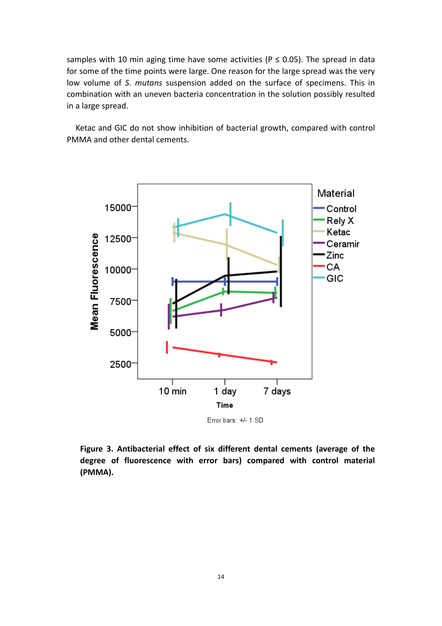samples with 10 min aging time have some activities ( $P \le 0.05$ ). The spread in data for some of the time points were large. One reason for the large spread was the very low volume of *S. mutans* suspension added on the surface of specimens. This in combination with an uneven bacteria concentration in the solution possibly resulted in a large spread.

 Ketac and GIC do not show inhibition of bacterial growth, compared with control PMMA and other dental cements.



**Figure 3. Antibacterial effect of six different dental cements (average of the degree of fluorescence with error bars) compared with control material (PMMA).**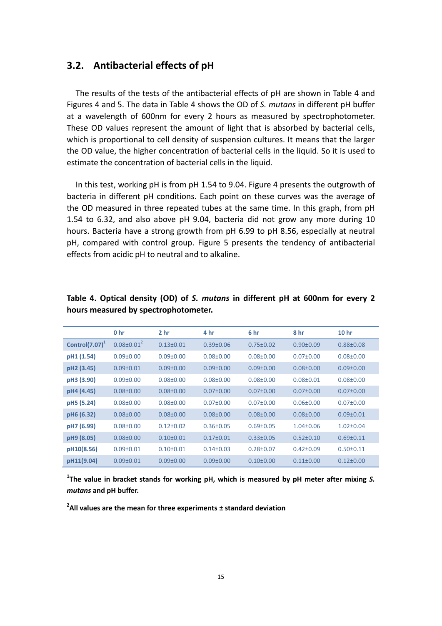#### <span id="page-15-0"></span>**3.2. Antibacterial effects of pH**

The results of the tests of the antibacterial effects of pH are shown in Table 4 and Figures 4 and 5. The data in Table 4 shows the OD of *S. mutans* in different pH buffer at a wavelength of 600nm for every 2 hours as measured by spectrophotometer. These OD values represent the amount of light that is absorbed by bacterial cells, which is proportional to cell density of suspension cultures. It means that the larger the OD value, the higher concentration of bacterial cells in the liquid. So it is used to estimate the concentration of bacterial cells in the liquid.

In this test, working pH is from pH 1.54 to 9.04. Figure 4 presents the outgrowth of bacteria in different pH conditions. Each point on these curves was the average of the OD measured in three repeated tubes at the same time. In this graph, from pH 1.54 to 6.32, and also above pH 9.04, bacteria did not grow any more during 10 hours. Bacteria have a strong growth from pH 6.99 to pH 8.56, especially at neutral pH, compared with control group. Figure 5 presents the tendency of antibacterial effects from acidic pH to neutral and to alkaline.

|                          | 0 <sub>hr</sub>   | 2 <sub>hr</sub> | 4 hr            | 6 hr            | 8 hr            | 10 <sub>hr</sub> |
|--------------------------|-------------------|-----------------|-----------------|-----------------|-----------------|------------------|
| Control(7.07) $^{\circ}$ | $0.08 \pm 0.01^2$ | $0.13 \pm 0.01$ | $0.39 \pm 0.06$ | $0.75 \pm 0.02$ | $0.90 \pm 0.09$ | $0.88 \pm 0.08$  |
| pH1 (1.54)               | $0.09 \pm 0.00$   | $0.09 \pm 0.00$ | $0.08 + 0.00$   | $0.08 + 0.00$   | $0.07 \pm 0.00$ | $0.08 \pm 0.00$  |
| pH2 (3.45)               | $0.09 + 0.01$     | $0.09 \pm 0.00$ | $0.09 + 0.00$   | $0.09 + 0.00$   | $0.08 + 0.00$   | $0.09 \pm 0.00$  |
| pH3 (3.90)               | $0.09 \pm 0.00$   | $0.08 + 0.00$   | $0.08 + 0.00$   | $0.08 \pm 0.00$ | $0.08 + 0.01$   | $0.08 \pm 0.00$  |
| pH4 (4.45)               | $0.08 \pm 0.00$   | $0.08 \pm 0.00$ | $0.07 \pm 0.00$ | $0.07 \pm 0.00$ | $0.07 \pm 0.00$ | $0.07 \pm 0.00$  |
| pH5 (5.24)               | $0.08 \pm 0.00$   | $0.08 + 0.00$   | $0.07 \pm 0.00$ | $0.07 \pm 0.00$ | $0.06 \pm 0.00$ | $0.07 \pm 0.00$  |
| pH6 (6.32)               | $0.08 \pm 0.00$   | $0.08 \pm 0.00$ | $0.08 \pm 0.00$ | $0.08 + 0.00$   | $0.08 + 0.00$   | $0.09 \pm 0.01$  |
| pH7 (6.99)               | $0.08 \pm 0.00$   | $0.12 \pm 0.02$ | $0.36 \pm 0.05$ | $0.69 \pm 0.05$ | $1.04 \pm 0.06$ | $1.02 \pm 0.04$  |
| pH9 (8.05)               | $0.08 \pm 0.00$   | $0.10+0.01$     | $0.17 \pm 0.01$ | $0.33 \pm 0.05$ | $0.52 \pm 0.10$ | $0.69 \pm 0.11$  |
| pH10(8.56)               | $0.09 \pm 0.01$   | $0.10+0.01$     | $0.14 \pm 0.03$ | $0.28 \pm 0.07$ | $0.42 \pm 0.09$ | $0.50 + 0.11$    |
| pH11(9.04)               | $0.09 + 0.01$     | $0.09 + 0.00$   | $0.09 + 0.00$   | $0.10+0.00$     | $0.11 \pm 0.00$ | $0.12 \pm 0.00$  |

#### **Table 4. Optical density (OD) of** *S. mutans* **in different pH at 600nm for every 2 hours measured by spectrophotometer.**

**1 The value in bracket stands for working pH, which is measured by pH meter after mixing** *S. mutans* **and pH buffer.**

**2 All values are the mean for three experiments ± standard deviation**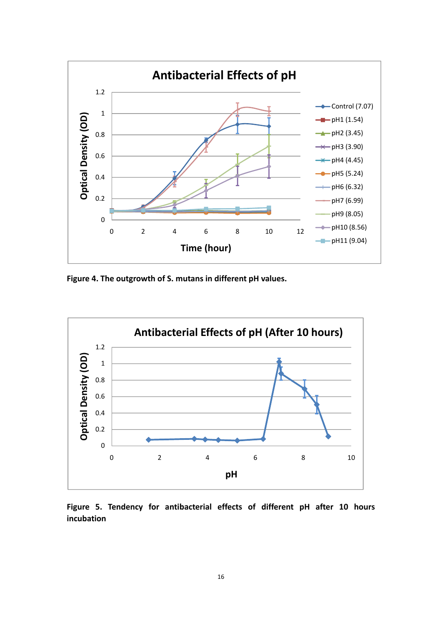

**Figure 4. The outgrowth of S. mutans in different pH values.**



**Figure 5. Tendency for antibacterial effects of different pH after 10 hours incubation**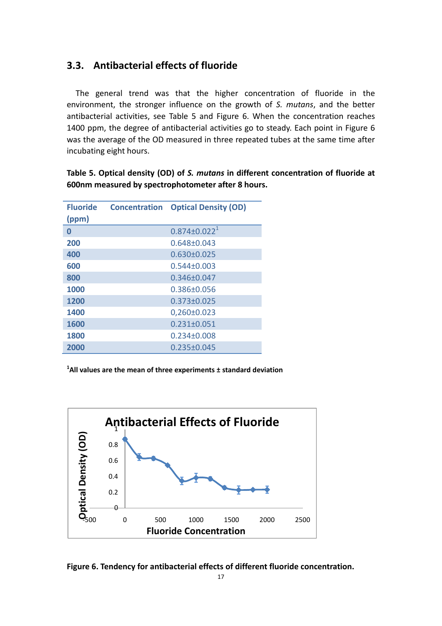## <span id="page-17-0"></span>**3.3. Antibacterial effects of fluoride**

The general trend was that the higher concentration of fluoride in the environment, the stronger influence on the growth of *S. mutans*, and the better antibacterial activities, see Table 5 and Figure 6. When the concentration reaches 1400 ppm, the degree of antibacterial activities go to steady. Each point in Figure 6 was the average of the OD measured in three repeated tubes at the same time after incubating eight hours.

**Table 5. Optical density (OD) of** *S. mutans* **in different concentration of fluoride at 600nm measured by spectrophotometer after 8 hours.**

| <b>Fluoride</b><br>(ppm) | <b>Concentration</b> | <b>Optical Density (OD)</b> |
|--------------------------|----------------------|-----------------------------|
| 0                        |                      | $0.874 \pm 0.022^1$         |
| 200                      |                      | $0.648 \pm 0.043$           |
| 400                      |                      | $0.630 \pm 0.025$           |
| 600                      |                      | $0.544 + 0.003$             |
| 800                      |                      | $0.346 + 0.047$             |
| 1000                     |                      | $0.386 + 0.056$             |
| 1200                     |                      | $0.373 \pm 0.025$           |
| 1400                     |                      | $0,260\pm0.023$             |
| 1600                     |                      | $0.231 \pm 0.051$           |
| 1800                     |                      | $0.234 \pm 0.008$           |
| 2000                     |                      | $0.235 \pm 0.045$           |

**1 All values are the mean of three experiments ± standard deviation**



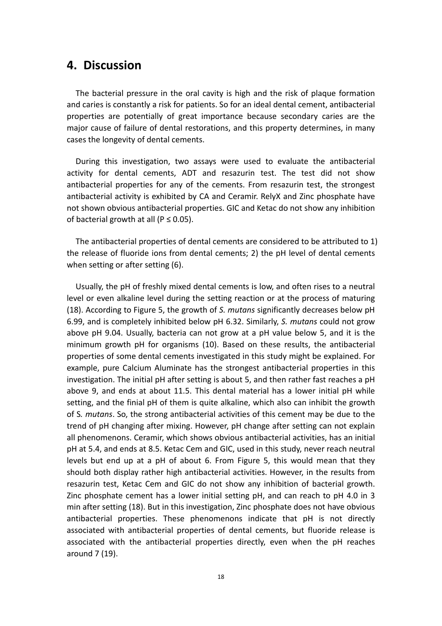## <span id="page-18-0"></span>**4. Discussion**

 The bacterial pressure in the oral cavity is high and the risk of plaque formation and caries is constantly a risk for patients. So for an ideal dental cement, antibacterial properties are potentially of great importance because secondary caries are the major cause of failure of dental restorations, and this property determines, in many cases the longevity of dental cements.

 During this investigation, two assays were used to evaluate the antibacterial activity for dental cements, ADT and resazurin test. The test did not show antibacterial properties for any of the cements. From resazurin test, the strongest antibacterial activity is exhibited by CA and Ceramir. RelyX and Zinc phosphate have not shown obvious antibacterial properties. GIC and Ketac do not show any inhibition of bacterial growth at all ( $P \le 0.05$ ).

 The antibacterial properties of dental cements are considered to be attributed to 1) the release of fluoride ions from dental cements; 2) the pH level of dental cements when setting or after setting (6).

 Usually, the pH of freshly mixed dental cements is low, and often rises to a neutral level or even alkaline level during the setting reaction or at the process of maturing (18). According to Figure 5, the growth of *S. mutans* significantly decreases below pH 6.99, and is completely inhibited below pH 6.32. Similarly, *S. mutans* could not grow above pH 9.04. Usually, bacteria can not grow at a pH value below 5, and it is the minimum growth pH for organisms (10). Based on these results, the antibacterial properties of some dental cements investigated in this study might be explained. For example, pure Calcium Aluminate has the strongest antibacterial properties in this investigation. The initial pH after setting is about 5, and then rather fast reaches a pH above 9, and ends at about 11.5. This dental material has a lower initial pH while setting, and the finial pH of them is quite alkaline, which also can inhibit the growth of S*. mutans*. So, the strong antibacterial activities of this cement may be due to the trend of pH changing after mixing. However, pH change after setting can not explain all phenomenons. Ceramir, which shows obvious antibacterial activities, has an initial pH at 5.4, and ends at 8.5. Ketac Cem and GIC, used in this study, never reach neutral levels but end up at a pH of about 6. From Figure 5, this would mean that they should both display rather high antibacterial activities. However, in the results from resazurin test, Ketac Cem and GIC do not show any inhibition of bacterial growth. Zinc phosphate cement has a lower initial setting pH, and can reach to pH 4.0 in 3 min after setting (18). But in this investigation, Zinc phosphate does not have obvious antibacterial properties. These phenomenons indicate that pH is not directly associated with antibacterial properties of dental cements, but fluoride release is associated with the antibacterial properties directly, even when the pH reaches around 7 (19).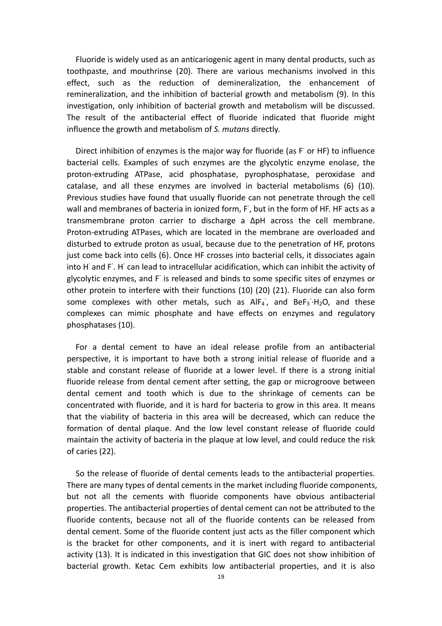Fluoride is widely used as an anticariogenic agent in many dental products, such as toothpaste, and mouthrinse (20). There are various mechanisms involved in this effect, such as the reduction of demineralization, the enhancement of remineralization, and the inhibition of bacterial growth and metabolism (9). In this investigation, only inhibition of bacterial growth and metabolism will be discussed. The result of the antibacterial effect of fluoride indicated that fluoride might influence the growth and metabolism of *S. mutans* directly.

Direct inhibition of enzymes is the major way for fluoride (as F or HF) to influence bacterial cells. Examples of such enzymes are the glycolytic enzyme enolase, the proton‐extruding ATPase, acid phosphatase, pyrophosphatase, peroxidase and catalase, and all these enzymes are involved in bacterial metabolisms (6) (10). Previous studies have found that usually fluoride can not penetrate through the cell wall and membranes of bacteria in ionized form, F<sup>-</sup>, but in the form of HF. HF acts as a transmembrane proton carrier to discharge a ΔpH across the cell membrane. Proton‐extruding ATPases, which are located in the membrane are overloaded and disturbed to extrude proton as usual, because due to the penetration of HF, protons just come back into cells (6). Once HF crosses into bacterial cells, it dissociates again into H and F. H can lead to intracellular acidification, which can inhibit the activity of glycolytic enzymes, and F<sup>-</sup> is released and binds to some specific sites of enzymes or other protein to interfere with their functions (10) (20) (21). Fluoride can also form some complexes with other metals, such as  $AlF_4$ , and  $BeF_3·H_2O$ , and these complexes can mimic phosphate and have effects on enzymes and regulatory phosphatases (10).

 For a dental cement to have an ideal release profile from an antibacterial perspective, it is important to have both a strong initial release of fluoride and a stable and constant release of fluoride at a lower level. If there is a strong initial fluoride release from dental cement after setting, the gap or microgroove between dental cement and tooth which is due to the shrinkage of cements can be concentrated with fluoride, and it is hard for bacteria to grow in this area. It means that the viability of bacteria in this area will be decreased, which can reduce the formation of dental plaque. And the low level constant release of fluoride could maintain the activity of bacteria in the plaque at low level, and could reduce the risk of caries (22).

 So the release of fluoride of dental cements leads to the antibacterial properties. There are many types of dental cements in the market including fluoride components, but not all the cements with fluoride components have obvious antibacterial properties. The antibacterial properties of dental cement can not be attributed to the fluoride contents, because not all of the fluoride contents can be released from dental cement. Some of the fluoride content just acts as the filler component which is the bracket for other components, and it is inert with regard to antibacterial activity (13). It is indicated in this investigation that GIC does not show inhibition of bacterial growth. Ketac Cem exhibits low antibacterial properties, and it is also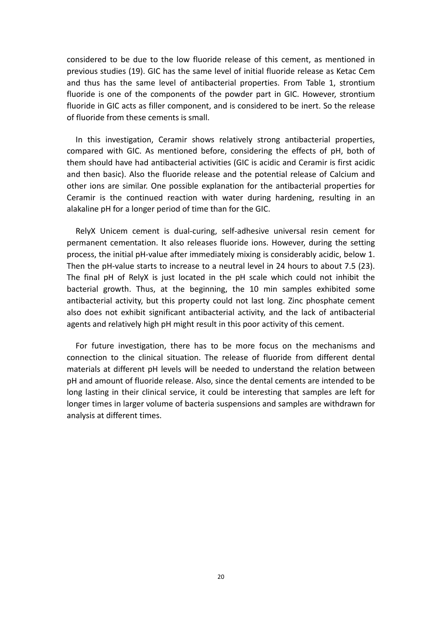considered to be due to the low fluoride release of this cement, as mentioned in previous studies (19). GIC has the same level of initial fluoride release as Ketac Cem and thus has the same level of antibacterial properties. From Table 1, strontium fluoride is one of the components of the powder part in GIC. However, strontium fluoride in GIC acts as filler component, and is considered to be inert. So the release of fluoride from these cements is small.

 In this investigation, Ceramir shows relatively strong antibacterial properties, compared with GIC. As mentioned before, considering the effects of pH, both of them should have had antibacterial activities (GIC is acidic and Ceramir is first acidic and then basic). Also the fluoride release and the potential release of Calcium and other ions are similar. One possible explanation for the antibacterial properties for Ceramir is the continued reaction with water during hardening, resulting in an alakaline pH for a longer period of time than for the GIC.

RelyX Unicem cement is dual-curing, self-adhesive universal resin cement for permanent cementation. It also releases fluoride ions. However, during the setting process, the initial pH‐value after immediately mixing is considerably acidic, below 1. Then the pH-value starts to increase to a neutral level in 24 hours to about 7.5 (23). The final pH of RelyX is just located in the pH scale which could not inhibit the bacterial growth. Thus, at the beginning, the 10 min samples exhibited some antibacterial activity, but this property could not last long. Zinc phosphate cement also does not exhibit significant antibacterial activity, and the lack of antibacterial agents and relatively high pH might result in this poor activity of this cement.

 For future investigation, there has to be more focus on the mechanisms and connection to the clinical situation. The release of fluoride from different dental materials at different pH levels will be needed to understand the relation between pH and amount of fluoride release. Also, since the dental cements are intended to be long lasting in their clinical service, it could be interesting that samples are left for longer times in larger volume of bacteria suspensions and samples are withdrawn for analysis at different times.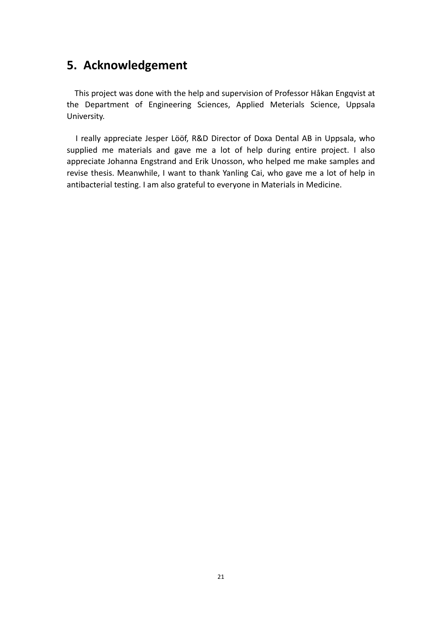## <span id="page-21-0"></span>**5. Acknowledgement**

 This project was done with the help and supervision of Professor Håkan Engqvist at the Department of Engineering Sciences, Applied Meterials Science, Uppsala University.

 I really appreciate Jesper Lööf, R&D Director of Doxa Dental AB in Uppsala, who supplied me materials and gave me a lot of help during entire project. I also appreciate Johanna Engstrand and Erik Unosson, who helped me make samples and revise thesis. Meanwhile, I want to thank Yanling Cai, who gave me a lot of help in antibacterial testing. I am also grateful to everyone in Materials in Medicine.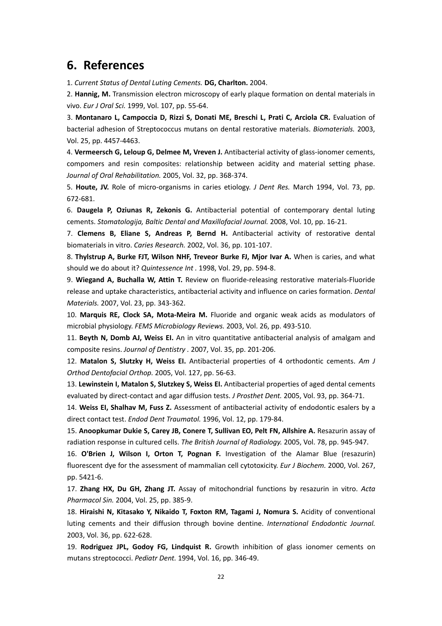## <span id="page-22-0"></span>**6. References**

1. *Current Status of Dental Luting Cements.* **DG, Charlton.** 2004.

2. **Hannig, M.** Transmission electron microscopy of early plaque formation on dental materials in vivo. *Eur J Oral Sci.* 1999, Vol. 107, pp. 55‐64.

3. **Montanaro L, Campoccia D, Rizzi S, Donati ME, Breschi L, Prati C, Arciola CR.** Evaluation of bacterial adhesion of Streptococcus mutans on dental restorative materials. *Biomaterials.* 2003, Vol. 25, pp. 4457‐4463.

4. **Vermeersch G, Leloup G, Delmee M, Vreven J.** Antibacterial activity of glass‐ionomer cements, compomers and resin composites: relationship between acidity and material setting phase. *Journal of Oral Rehabilitation.* 2005, Vol. 32, pp. 368‐374.

5. **Houte, JV.** Role of micro‐organisms in caries etiology. *J Dent Res.* March 1994, Vol. 73, pp. 672‐681.

6. **Daugela P, Oziunas R, Zekonis G.** Antibacterial potential of contemporary dental luting cements. *Stomatologija, Baltic Dental and Maxillofacial Journal.* 2008, Vol. 10, pp. 16‐21.

7. **Clemens B, Eliane S, Andreas P, Bernd H.** Antibacterial activity of restorative dental biomaterials in vitro. *Caries Research.* 2002, Vol. 36, pp. 101‐107.

8. **Thylstrup A, Burke FJT, Wilson NHF, Treveor Burke FJ, Mjor Ivar A.** When is caries, and what should we do about it? *Quintessence Int .* 1998, Vol. 29, pp. 594‐8.

9. **Wiegand A, Buchalla W, Attin T.** Review on fluoride‐releasing restorative materials‐Fluoride release and uptake characteristics, antibacterial activity and influence on caries formation. *Dental Materials.* 2007, Vol. 23, pp. 343‐362.

10. **Marquis RE, Clock SA, Mota‐Meira M.** Fluoride and organic weak acids as modulators of microbial physiology. *FEMS Microbiology Reviews.* 2003, Vol. 26, pp. 493‐510.

11. **Beyth N, Domb AJ, Weiss EI.** An in vitro quantitative antibacterial analysis of amalgam and composite resins. *Journal of Dentistry .* 2007, Vol. 35, pp. 201‐206.

12. **Matalon S, Slutzky H, Weiss EI.** Antibacterial properties of 4 orthodontic cements. *Am J Orthod Dentofacial Orthop.* 2005, Vol. 127, pp. 56‐63.

13. **Lewinstein I, Matalon S, Slutzkey S, Weiss EI.** Antibacterial properties of aged dental cements evaluated by direct‐contact and agar diffusion tests. *J Prosthet Dent.* 2005, Vol. 93, pp. 364‐71.

14. **Weiss EI, Shalhav M, Fuss Z.** Assessment of antibacterial activity of endodontic esalers by a direct contact test. *Endod Dent Traumatol.* 1996, Vol. 12, pp. 179‐84.

15. **Anoopkumar Dukie S, Carey JB, Conere T, Sullivan EO, Pelt FN, Allshire A.** Resazurin assay of radiation response in cultured cells. *The British Journal of Radiology.* 2005, Vol. 78, pp. 945‐947.

16. **O'Brien J, Wilson I, Orton T, Pognan F.** Investigation of the Alamar Blue (resazurin) fluorescent dye for the assessment of mammalian cell cytotoxicity. *Eur J Biochem.* 2000, Vol. 267, pp. 5421‐6.

17. **Zhang HX, Du GH, Zhang JT.** Assay of mitochondrial functions by resazurin in vitro. *Acta Pharmacol Sin.* 2004, Vol. 25, pp. 385‐9.

18. **Hiraishi N, Kitasako Y, Nikaido T, Foxton RM, Tagami J, Nomura S.** Acidity of conventional luting cements and their diffusion through bovine dentine. *International Endodontic Journal.* 2003, Vol. 36, pp. 622‐628.

19. **Rodriguez JPL, Godoy FG, Lindquist R.** Growth inhibition of glass ionomer cements on mutans streptococci. *Pediatr Dent.* 1994, Vol. 16, pp. 346‐49.